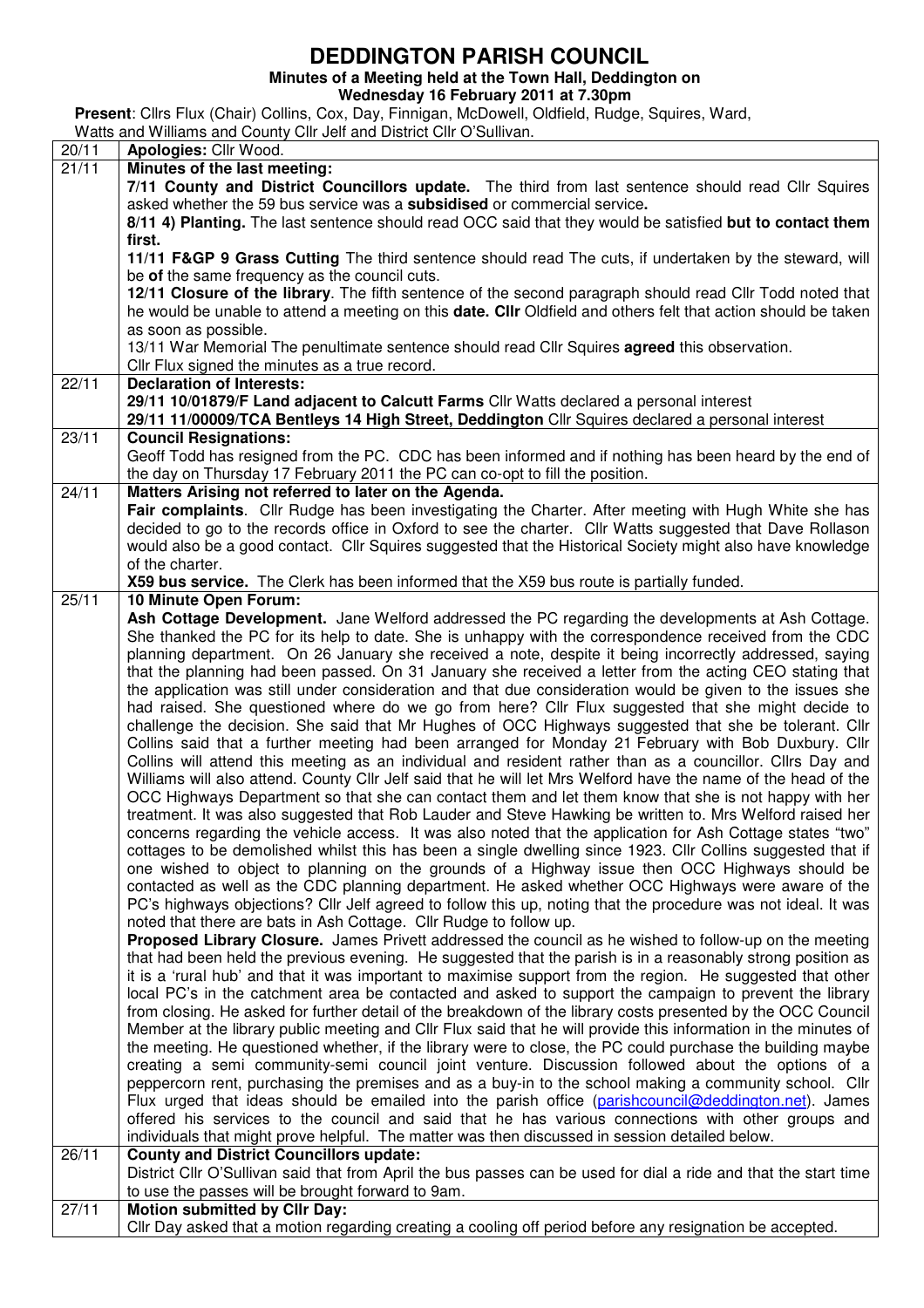## **DEDDINGTON PARISH COUNCIL**

**Minutes of a Meeting held at the Town Hall, Deddington on** 

**Wednesday 16 February 2011 at 7.30pm** 

**Present**: Cllrs Flux (Chair) Collins, Cox, Day, Finnigan, McDowell, Oldfield, Rudge, Squires, Ward,

## Watts and Williams and County Cllr Jelf and District Cllr O'Sullivan.

| 20/11              | Apologies: Cllr Wood.                                                                                            |  |  |  |  |  |  |
|--------------------|------------------------------------------------------------------------------------------------------------------|--|--|--|--|--|--|
| $\overline{2}1/11$ | Minutes of the last meeting:                                                                                     |  |  |  |  |  |  |
|                    | 7/11 County and District Councillors update. The third from last sentence should read Cllr Squires               |  |  |  |  |  |  |
|                    | asked whether the 59 bus service was a subsidised or commercial service.                                         |  |  |  |  |  |  |
|                    | 8/11 4) Planting. The last sentence should read OCC said that they would be satisfied but to contact them        |  |  |  |  |  |  |
|                    | first.                                                                                                           |  |  |  |  |  |  |
|                    | 11/11 F&GP 9 Grass Cutting The third sentence should read The cuts, if undertaken by the steward, will           |  |  |  |  |  |  |
|                    | be of the same frequency as the council cuts.                                                                    |  |  |  |  |  |  |
|                    | 12/11 Closure of the library. The fifth sentence of the second paragraph should read Cllr Todd noted that        |  |  |  |  |  |  |
|                    | he would be unable to attend a meeting on this date. Cllr Oldfield and others felt that action should be taken   |  |  |  |  |  |  |
|                    | as soon as possible.                                                                                             |  |  |  |  |  |  |
|                    | 13/11 War Memorial The penultimate sentence should read Cllr Squires <b>agreed</b> this observation.             |  |  |  |  |  |  |
|                    | Cllr Flux signed the minutes as a true record.                                                                   |  |  |  |  |  |  |
| 22/11              | <b>Declaration of Interests:</b>                                                                                 |  |  |  |  |  |  |
|                    | 29/11 10/01879/F Land adjacent to Calcutt Farms Cllr Watts declared a personal interest                          |  |  |  |  |  |  |
|                    | 29/11 11/00009/TCA Bentleys 14 High Street, Deddington Cllr Squires declared a personal interest                 |  |  |  |  |  |  |
| 23/11              | <b>Council Resignations:</b>                                                                                     |  |  |  |  |  |  |
|                    | Geoff Todd has resigned from the PC. CDC has been informed and if nothing has been heard by the end of           |  |  |  |  |  |  |
|                    |                                                                                                                  |  |  |  |  |  |  |
|                    | the day on Thursday 17 February 2011 the PC can co-opt to fill the position.                                     |  |  |  |  |  |  |
| 24/11              | Matters Arising not referred to later on the Agenda.                                                             |  |  |  |  |  |  |
|                    | Fair complaints. Cllr Rudge has been investigating the Charter. After meeting with Hugh White she has            |  |  |  |  |  |  |
|                    | decided to go to the records office in Oxford to see the charter. Cllr Watts suggested that Dave Rollason        |  |  |  |  |  |  |
|                    | would also be a good contact. Cllr Squires suggested that the Historical Society might also have knowledge       |  |  |  |  |  |  |
|                    | of the charter.                                                                                                  |  |  |  |  |  |  |
|                    | X59 bus service. The Clerk has been informed that the X59 bus route is partially funded.                         |  |  |  |  |  |  |
| 25/11              | 10 Minute Open Forum:                                                                                            |  |  |  |  |  |  |
|                    | Ash Cottage Development. Jane Welford addressed the PC regarding the developments at Ash Cottage.                |  |  |  |  |  |  |
|                    | She thanked the PC for its help to date. She is unhappy with the correspondence received from the CDC            |  |  |  |  |  |  |
|                    | planning department. On 26 January she received a note, despite it being incorrectly addressed, saying           |  |  |  |  |  |  |
|                    | that the planning had been passed. On 31 January she received a letter from the acting CEO stating that          |  |  |  |  |  |  |
|                    | the application was still under consideration and that due consideration would be given to the issues she        |  |  |  |  |  |  |
|                    | had raised. She questioned where do we go from here? Cllr Flux suggested that she might decide to                |  |  |  |  |  |  |
|                    | challenge the decision. She said that Mr Hughes of OCC Highways suggested that she be tolerant. Cllr             |  |  |  |  |  |  |
|                    | Collins said that a further meeting had been arranged for Monday 21 February with Bob Duxbury. Cllr              |  |  |  |  |  |  |
|                    | Collins will attend this meeting as an individual and resident rather than as a councillor. Cllrs Day and        |  |  |  |  |  |  |
|                    | Williams will also attend. County Cllr Jelf said that he will let Mrs Welford have the name of the head of the   |  |  |  |  |  |  |
|                    | OCC Highways Department so that she can contact them and let them know that she is not happy with her            |  |  |  |  |  |  |
|                    | treatment. It was also suggested that Rob Lauder and Steve Hawking be written to. Mrs Welford raised her         |  |  |  |  |  |  |
|                    | concerns regarding the vehicle access. It was also noted that the application for Ash Cottage states "two"       |  |  |  |  |  |  |
|                    | cottages to be demolished whilst this has been a single dwelling since 1923. Cllr Collins suggested that if      |  |  |  |  |  |  |
|                    | one wished to object to planning on the grounds of a Highway issue then OCC Highways should be                   |  |  |  |  |  |  |
|                    | contacted as well as the CDC planning department. He asked whether OCC Highways were aware of the                |  |  |  |  |  |  |
|                    | PC's highways objections? Cllr Jelf agreed to follow this up, noting that the procedure was not ideal. It was    |  |  |  |  |  |  |
|                    | noted that there are bats in Ash Cottage. Cllr Rudge to follow up.                                               |  |  |  |  |  |  |
|                    | Proposed Library Closure. James Privett addressed the council as he wished to follow-up on the meeting           |  |  |  |  |  |  |
|                    | that had been held the previous evening. He suggested that the parish is in a reasonably strong position as      |  |  |  |  |  |  |
|                    | it is a 'rural hub' and that it was important to maximise support from the region. He suggested that other       |  |  |  |  |  |  |
|                    | local PC's in the catchment area be contacted and asked to support the campaign to prevent the library           |  |  |  |  |  |  |
|                    | from closing. He asked for further detail of the breakdown of the library costs presented by the OCC Council     |  |  |  |  |  |  |
|                    | Member at the library public meeting and CIIr Flux said that he will provide this information in the minutes of  |  |  |  |  |  |  |
|                    | the meeting. He questioned whether, if the library were to close, the PC could purchase the building maybe       |  |  |  |  |  |  |
|                    | creating a semi community-semi council joint venture. Discussion followed about the options of a                 |  |  |  |  |  |  |
|                    | peppercorn rent, purchasing the premises and as a buy-in to the school making a community school. Cllr           |  |  |  |  |  |  |
|                    | Flux urged that ideas should be emailed into the parish office (parishcouncil@deddington.net). James             |  |  |  |  |  |  |
|                    | offered his services to the council and said that he has various connections with other groups and               |  |  |  |  |  |  |
|                    | individuals that might prove helpful. The matter was then discussed in session detailed below.                   |  |  |  |  |  |  |
| 26/11              | <b>County and District Councillors update:</b>                                                                   |  |  |  |  |  |  |
|                    | District Cllr O'Sullivan said that from April the bus passes can be used for dial a ride and that the start time |  |  |  |  |  |  |
|                    | to use the passes will be brought forward to 9am.                                                                |  |  |  |  |  |  |
| 27/11              | <b>Motion submitted by Cllr Day:</b>                                                                             |  |  |  |  |  |  |
|                    | Cllr Day asked that a motion regarding creating a cooling off period before any resignation be accepted.         |  |  |  |  |  |  |
|                    |                                                                                                                  |  |  |  |  |  |  |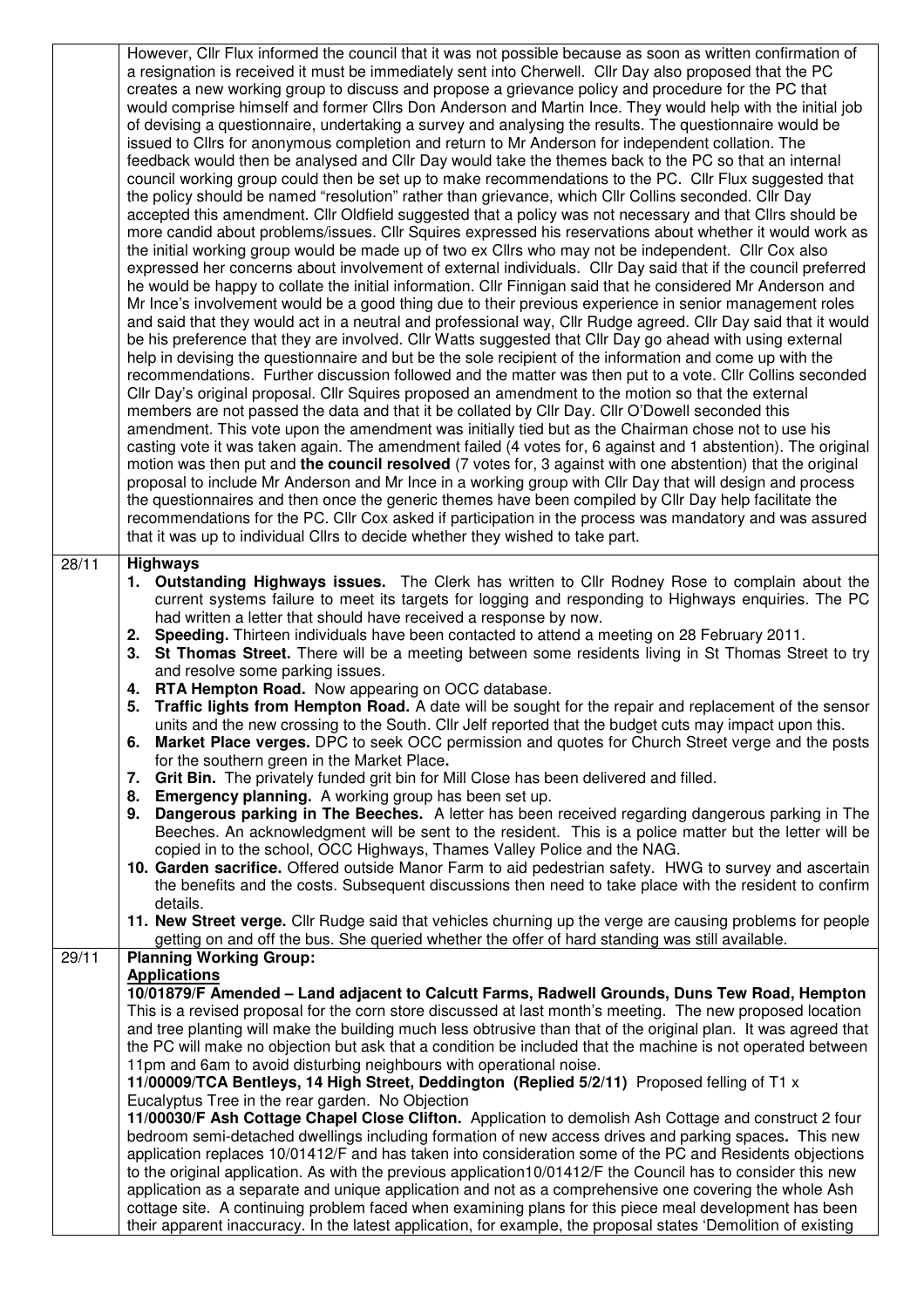|       | However, Cllr Flux informed the council that it was not possible because as soon as written confirmation of                                                                                                           |  |  |  |  |  |  |
|-------|-----------------------------------------------------------------------------------------------------------------------------------------------------------------------------------------------------------------------|--|--|--|--|--|--|
|       | a resignation is received it must be immediately sent into Cherwell. Cllr Day also proposed that the PC<br>creates a new working group to discuss and propose a grievance policy and procedure for the PC that        |  |  |  |  |  |  |
|       | would comprise himself and former Cllrs Don Anderson and Martin Ince. They would help with the initial job                                                                                                            |  |  |  |  |  |  |
|       | of devising a questionnaire, undertaking a survey and analysing the results. The questionnaire would be                                                                                                               |  |  |  |  |  |  |
|       | issued to Cllrs for anonymous completion and return to Mr Anderson for independent collation. The                                                                                                                     |  |  |  |  |  |  |
|       | feedback would then be analysed and Cllr Day would take the themes back to the PC so that an internal                                                                                                                 |  |  |  |  |  |  |
|       | council working group could then be set up to make recommendations to the PC. Cllr Flux suggested that                                                                                                                |  |  |  |  |  |  |
|       | the policy should be named "resolution" rather than grievance, which Cllr Collins seconded. Cllr Day                                                                                                                  |  |  |  |  |  |  |
|       | accepted this amendment. Cllr Oldfield suggested that a policy was not necessary and that Cllrs should be                                                                                                             |  |  |  |  |  |  |
|       | more candid about problems/issues. Cllr Squires expressed his reservations about whether it would work as                                                                                                             |  |  |  |  |  |  |
|       | the initial working group would be made up of two ex Cllrs who may not be independent. Cllr Cox also<br>expressed her concerns about involvement of external individuals. Cllr Day said that if the council preferred |  |  |  |  |  |  |
|       | he would be happy to collate the initial information. Cllr Finnigan said that he considered Mr Anderson and                                                                                                           |  |  |  |  |  |  |
|       | Mr Ince's involvement would be a good thing due to their previous experience in senior management roles                                                                                                               |  |  |  |  |  |  |
|       | and said that they would act in a neutral and professional way, Cllr Rudge agreed. Cllr Day said that it would                                                                                                        |  |  |  |  |  |  |
|       | be his preference that they are involved. Cllr Watts suggested that Cllr Day go ahead with using external                                                                                                             |  |  |  |  |  |  |
|       | help in devising the questionnaire and but be the sole recipient of the information and come up with the                                                                                                              |  |  |  |  |  |  |
|       | recommendations. Further discussion followed and the matter was then put to a vote. Cllr Collins seconded                                                                                                             |  |  |  |  |  |  |
|       | Cllr Day's original proposal. Cllr Squires proposed an amendment to the motion so that the external                                                                                                                   |  |  |  |  |  |  |
|       | members are not passed the data and that it be collated by Cllr Day. Cllr O'Dowell seconded this                                                                                                                      |  |  |  |  |  |  |
|       | amendment. This vote upon the amendment was initially tied but as the Chairman chose not to use his<br>casting vote it was taken again. The amendment failed (4 votes for, 6 against and 1 abstention). The original  |  |  |  |  |  |  |
|       | motion was then put and the council resolved (7 votes for, 3 against with one abstention) that the original                                                                                                           |  |  |  |  |  |  |
|       | proposal to include Mr Anderson and Mr Ince in a working group with Cllr Day that will design and process                                                                                                             |  |  |  |  |  |  |
|       | the questionnaires and then once the generic themes have been compiled by Cllr Day help facilitate the                                                                                                                |  |  |  |  |  |  |
|       | recommendations for the PC. Cllr Cox asked if participation in the process was mandatory and was assured                                                                                                              |  |  |  |  |  |  |
|       | that it was up to individual Cllrs to decide whether they wished to take part.                                                                                                                                        |  |  |  |  |  |  |
| 28/11 | <b>Highways</b>                                                                                                                                                                                                       |  |  |  |  |  |  |
|       | 1. Outstanding Highways issues. The Clerk has written to Cllr Rodney Rose to complain about the                                                                                                                       |  |  |  |  |  |  |
|       | current systems failure to meet its targets for logging and responding to Highways enquiries. The PC                                                                                                                  |  |  |  |  |  |  |
|       | had written a letter that should have received a response by now.                                                                                                                                                     |  |  |  |  |  |  |
|       | Speeding. Thirteen individuals have been contacted to attend a meeting on 28 February 2011.<br>2.                                                                                                                     |  |  |  |  |  |  |
|       | St Thomas Street. There will be a meeting between some residents living in St Thomas Street to try<br>3.<br>and resolve some parking issues.                                                                          |  |  |  |  |  |  |
|       | <b>RTA Hempton Road.</b> Now appearing on OCC database.<br>4.                                                                                                                                                         |  |  |  |  |  |  |
|       | Traffic lights from Hempton Road. A date will be sought for the repair and replacement of the sensor<br>5.                                                                                                            |  |  |  |  |  |  |
|       | units and the new crossing to the South. Cllr Jelf reported that the budget cuts may impact upon this.                                                                                                                |  |  |  |  |  |  |
|       | 6. Market Place verges. DPC to seek OCC permission and quotes for Church Street verge and the posts                                                                                                                   |  |  |  |  |  |  |
|       | for the southern green in the Market Place.                                                                                                                                                                           |  |  |  |  |  |  |
|       | 7. Grit Bin. The privately funded grit bin for Mill Close has been delivered and filled.                                                                                                                              |  |  |  |  |  |  |
|       | 8. Emergency planning. A working group has been set up.<br>Dangerous parking in The Beeches. A letter has been received regarding dangerous parking in The<br>9.                                                      |  |  |  |  |  |  |
|       | Beeches. An acknowledgment will be sent to the resident. This is a police matter but the letter will be                                                                                                               |  |  |  |  |  |  |
|       | copied in to the school, OCC Highways, Thames Valley Police and the NAG.                                                                                                                                              |  |  |  |  |  |  |
|       | 10. Garden sacrifice. Offered outside Manor Farm to aid pedestrian safety. HWG to survey and ascertain                                                                                                                |  |  |  |  |  |  |
|       | the benefits and the costs. Subsequent discussions then need to take place with the resident to confirm                                                                                                               |  |  |  |  |  |  |
|       | details.                                                                                                                                                                                                              |  |  |  |  |  |  |
|       | 11. New Street verge. Cllr Rudge said that vehicles churning up the verge are causing problems for people<br>getting on and off the bus. She queried whether the offer of hard standing was still available.          |  |  |  |  |  |  |
| 29/11 | <b>Planning Working Group:</b>                                                                                                                                                                                        |  |  |  |  |  |  |
|       | <b>Applications</b>                                                                                                                                                                                                   |  |  |  |  |  |  |
|       | 10/01879/F Amended - Land adjacent to Calcutt Farms, Radwell Grounds, Duns Tew Road, Hempton                                                                                                                          |  |  |  |  |  |  |
|       | This is a revised proposal for the corn store discussed at last month's meeting. The new proposed location                                                                                                            |  |  |  |  |  |  |
|       | and tree planting will make the building much less obtrusive than that of the original plan. It was agreed that                                                                                                       |  |  |  |  |  |  |
|       | the PC will make no objection but ask that a condition be included that the machine is not operated between                                                                                                           |  |  |  |  |  |  |
|       | 11pm and 6am to avoid disturbing neighbours with operational noise.<br>11/00009/TCA Bentleys, 14 High Street, Deddington (Replied 5/2/11) Proposed felling of T1 x                                                    |  |  |  |  |  |  |
|       | Eucalyptus Tree in the rear garden. No Objection                                                                                                                                                                      |  |  |  |  |  |  |
|       | 11/00030/F Ash Cottage Chapel Close Clifton. Application to demolish Ash Cottage and construct 2 four                                                                                                                 |  |  |  |  |  |  |
|       | bedroom semi-detached dwellings including formation of new access drives and parking spaces. This new                                                                                                                 |  |  |  |  |  |  |
|       | application replaces 10/01412/F and has taken into consideration some of the PC and Residents objections                                                                                                              |  |  |  |  |  |  |
|       | to the original application. As with the previous application10/01412/F the Council has to consider this new                                                                                                          |  |  |  |  |  |  |
|       | application as a separate and unique application and not as a comprehensive one covering the whole Ash                                                                                                                |  |  |  |  |  |  |
|       | cottage site. A continuing problem faced when examining plans for this piece meal development has been                                                                                                                |  |  |  |  |  |  |
|       | their apparent inaccuracy. In the latest application, for example, the proposal states 'Demolition of existing                                                                                                        |  |  |  |  |  |  |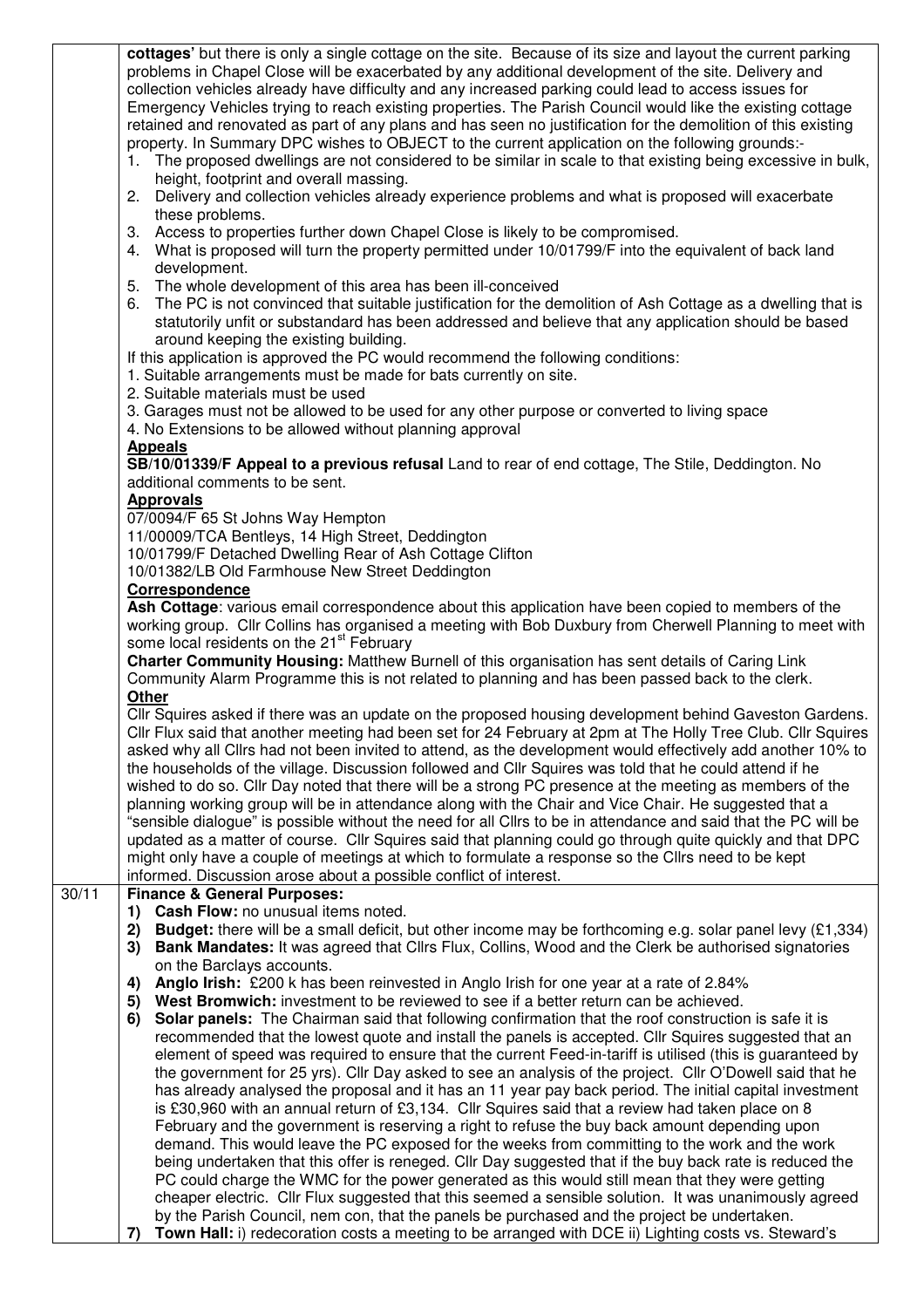| cottages' but there is only a single cottage on the site. Because of its size and layout the current parking<br>problems in Chapel Close will be exacerbated by any additional development of the site. Delivery and<br>collection vehicles already have difficulty and any increased parking could lead to access issues for<br>Emergency Vehicles trying to reach existing properties. The Parish Council would like the existing cottage                                                                                                                                                                                                                                                                                                                                                                                                                                                                                                                                                                                                                                                                                                                                                                                                                                                                                                                                                                                                                                                                                                                                                     |  |  |  |  |  |
|-------------------------------------------------------------------------------------------------------------------------------------------------------------------------------------------------------------------------------------------------------------------------------------------------------------------------------------------------------------------------------------------------------------------------------------------------------------------------------------------------------------------------------------------------------------------------------------------------------------------------------------------------------------------------------------------------------------------------------------------------------------------------------------------------------------------------------------------------------------------------------------------------------------------------------------------------------------------------------------------------------------------------------------------------------------------------------------------------------------------------------------------------------------------------------------------------------------------------------------------------------------------------------------------------------------------------------------------------------------------------------------------------------------------------------------------------------------------------------------------------------------------------------------------------------------------------------------------------|--|--|--|--|--|
| retained and renovated as part of any plans and has seen no justification for the demolition of this existing<br>property. In Summary DPC wishes to OBJECT to the current application on the following grounds:-<br>1. The proposed dwellings are not considered to be similar in scale to that existing being excessive in bulk,                                                                                                                                                                                                                                                                                                                                                                                                                                                                                                                                                                                                                                                                                                                                                                                                                                                                                                                                                                                                                                                                                                                                                                                                                                                               |  |  |  |  |  |
| height, footprint and overall massing.<br>Delivery and collection vehicles already experience problems and what is proposed will exacerbate<br>2.<br>these problems.                                                                                                                                                                                                                                                                                                                                                                                                                                                                                                                                                                                                                                                                                                                                                                                                                                                                                                                                                                                                                                                                                                                                                                                                                                                                                                                                                                                                                            |  |  |  |  |  |
| 3. Access to properties further down Chapel Close is likely to be compromised.<br>4. What is proposed will turn the property permitted under 10/01799/F into the equivalent of back land<br>development.                                                                                                                                                                                                                                                                                                                                                                                                                                                                                                                                                                                                                                                                                                                                                                                                                                                                                                                                                                                                                                                                                                                                                                                                                                                                                                                                                                                        |  |  |  |  |  |
| The whole development of this area has been ill-conceived<br>5.<br>The PC is not convinced that suitable justification for the demolition of Ash Cottage as a dwelling that is<br>6.<br>statutorily unfit or substandard has been addressed and believe that any application should be based<br>around keeping the existing building.                                                                                                                                                                                                                                                                                                                                                                                                                                                                                                                                                                                                                                                                                                                                                                                                                                                                                                                                                                                                                                                                                                                                                                                                                                                           |  |  |  |  |  |
| If this application is approved the PC would recommend the following conditions:<br>1. Suitable arrangements must be made for bats currently on site.<br>2. Suitable materials must be used                                                                                                                                                                                                                                                                                                                                                                                                                                                                                                                                                                                                                                                                                                                                                                                                                                                                                                                                                                                                                                                                                                                                                                                                                                                                                                                                                                                                     |  |  |  |  |  |
| 3. Garages must not be allowed to be used for any other purpose or converted to living space<br>4. No Extensions to be allowed without planning approval<br><b>Appeals</b>                                                                                                                                                                                                                                                                                                                                                                                                                                                                                                                                                                                                                                                                                                                                                                                                                                                                                                                                                                                                                                                                                                                                                                                                                                                                                                                                                                                                                      |  |  |  |  |  |
| SB/10/01339/F Appeal to a previous refusal Land to rear of end cottage, The Stile, Deddington. No<br>additional comments to be sent.<br><b>Approvals</b>                                                                                                                                                                                                                                                                                                                                                                                                                                                                                                                                                                                                                                                                                                                                                                                                                                                                                                                                                                                                                                                                                                                                                                                                                                                                                                                                                                                                                                        |  |  |  |  |  |
| 07/0094/F 65 St Johns Way Hempton<br>11/00009/TCA Bentleys, 14 High Street, Deddington<br>10/01799/F Detached Dwelling Rear of Ash Cottage Clifton<br>10/01382/LB Old Farmhouse New Street Deddington<br>Correspondence                                                                                                                                                                                                                                                                                                                                                                                                                                                                                                                                                                                                                                                                                                                                                                                                                                                                                                                                                                                                                                                                                                                                                                                                                                                                                                                                                                         |  |  |  |  |  |
| Ash Cottage: various email correspondence about this application have been copied to members of the<br>working group. Cllr Collins has organised a meeting with Bob Duxbury from Cherwell Planning to meet with<br>some local residents on the 21 <sup>st</sup> February                                                                                                                                                                                                                                                                                                                                                                                                                                                                                                                                                                                                                                                                                                                                                                                                                                                                                                                                                                                                                                                                                                                                                                                                                                                                                                                        |  |  |  |  |  |
| Charter Community Housing: Matthew Burnell of this organisation has sent details of Caring Link<br>Community Alarm Programme this is not related to planning and has been passed back to the clerk.<br>Other                                                                                                                                                                                                                                                                                                                                                                                                                                                                                                                                                                                                                                                                                                                                                                                                                                                                                                                                                                                                                                                                                                                                                                                                                                                                                                                                                                                    |  |  |  |  |  |
| Cllr Squires asked if there was an update on the proposed housing development behind Gaveston Gardens.<br>Cllr Flux said that another meeting had been set for 24 February at 2pm at The Holly Tree Club. Cllr Squires<br>asked why all Cllrs had not been invited to attend, as the development would effectively add another 10% to<br>the households of the village. Discussion followed and CIIr Squires was told that he could attend if he<br>wished to do so. Cllr Day noted that there will be a strong PC presence at the meeting as members of the<br>planning working group will be in attendance along with the Chair and Vice Chair. He suggested that a<br>"sensible dialogue" is possible without the need for all Cllrs to be in attendance and said that the PC will be<br>updated as a matter of course. Cllr Squires said that planning could go through quite quickly and that DPC<br>might only have a couple of meetings at which to formulate a response so the Cllrs need to be kept<br>informed. Discussion arose about a possible conflict of interest.                                                                                                                                                                                                                                                                                                                                                                                                                                                                                                               |  |  |  |  |  |
| <b>Finance &amp; General Purposes:</b><br>Cash Flow: no unusual items noted.<br>1)                                                                                                                                                                                                                                                                                                                                                                                                                                                                                                                                                                                                                                                                                                                                                                                                                                                                                                                                                                                                                                                                                                                                                                                                                                                                                                                                                                                                                                                                                                              |  |  |  |  |  |
| <b>Budget:</b> there will be a small deficit, but other income may be forthcoming e.g. solar panel levy $(E1,334)$<br>2)<br>Bank Mandates: It was agreed that Clirs Flux, Collins, Wood and the Clerk be authorised signatories<br>3)<br>on the Barclays accounts.                                                                                                                                                                                                                                                                                                                                                                                                                                                                                                                                                                                                                                                                                                                                                                                                                                                                                                                                                                                                                                                                                                                                                                                                                                                                                                                              |  |  |  |  |  |
| Anglo Irish: £200 k has been reinvested in Anglo Irish for one year at a rate of 2.84%<br>4)<br>West Bromwich: investment to be reviewed to see if a better return can be achieved.<br>5)<br>Solar panels: The Chairman said that following confirmation that the roof construction is safe it is<br>6)<br>recommended that the lowest quote and install the panels is accepted. Cllr Squires suggested that an<br>element of speed was required to ensure that the current Feed-in-tariff is utilised (this is guaranteed by<br>the government for 25 yrs). Cllr Day asked to see an analysis of the project. Cllr O'Dowell said that he<br>has already analysed the proposal and it has an 11 year pay back period. The initial capital investment<br>is £30,960 with an annual return of £3,134. Cllr Squires said that a review had taken place on 8<br>February and the government is reserving a right to refuse the buy back amount depending upon<br>demand. This would leave the PC exposed for the weeks from committing to the work and the work<br>being undertaken that this offer is reneged. Cllr Day suggested that if the buy back rate is reduced the<br>PC could charge the WMC for the power generated as this would still mean that they were getting<br>cheaper electric. Cllr Flux suggested that this seemed a sensible solution. It was unanimously agreed<br>by the Parish Council, nem con, that the panels be purchased and the project be undertaken.<br>Town Hall: i) redecoration costs a meeting to be arranged with DCE ii) Lighting costs vs. Steward's<br>7) |  |  |  |  |  |
|                                                                                                                                                                                                                                                                                                                                                                                                                                                                                                                                                                                                                                                                                                                                                                                                                                                                                                                                                                                                                                                                                                                                                                                                                                                                                                                                                                                                                                                                                                                                                                                                 |  |  |  |  |  |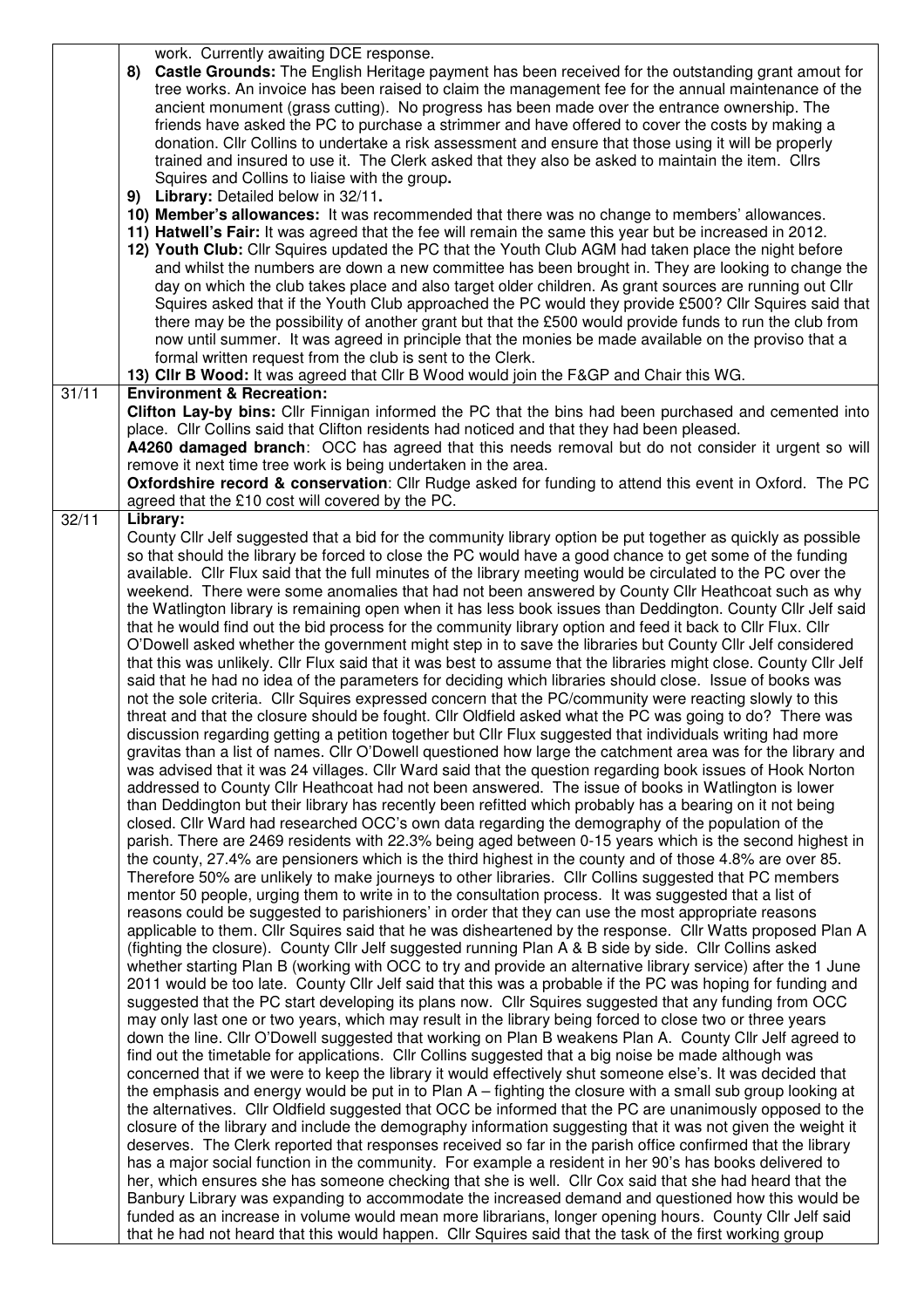|       | work. Currently awaiting DCE response.                                                                                                                                                                                                                                                                                                                                                                                                                                                                                                                                                                                                                                                                                                                                                                                                                                                                                                                                                                                                                                                                                                                                                                                                                                                                                                                                                                                                                                                                                                                                                                                                                                                                                                                                                                                                                                                                                                                                                                                             |
|-------|------------------------------------------------------------------------------------------------------------------------------------------------------------------------------------------------------------------------------------------------------------------------------------------------------------------------------------------------------------------------------------------------------------------------------------------------------------------------------------------------------------------------------------------------------------------------------------------------------------------------------------------------------------------------------------------------------------------------------------------------------------------------------------------------------------------------------------------------------------------------------------------------------------------------------------------------------------------------------------------------------------------------------------------------------------------------------------------------------------------------------------------------------------------------------------------------------------------------------------------------------------------------------------------------------------------------------------------------------------------------------------------------------------------------------------------------------------------------------------------------------------------------------------------------------------------------------------------------------------------------------------------------------------------------------------------------------------------------------------------------------------------------------------------------------------------------------------------------------------------------------------------------------------------------------------------------------------------------------------------------------------------------------------|
|       | <b>Castle Grounds:</b> The English Heritage payment has been received for the outstanding grant amout for<br>8)<br>tree works. An invoice has been raised to claim the management fee for the annual maintenance of the<br>ancient monument (grass cutting). No progress has been made over the entrance ownership. The<br>friends have asked the PC to purchase a strimmer and have offered to cover the costs by making a<br>donation. Cllr Collins to undertake a risk assessment and ensure that those using it will be properly<br>trained and insured to use it. The Clerk asked that they also be asked to maintain the item. Clirs<br>Squires and Collins to liaise with the group.                                                                                                                                                                                                                                                                                                                                                                                                                                                                                                                                                                                                                                                                                                                                                                                                                                                                                                                                                                                                                                                                                                                                                                                                                                                                                                                                        |
|       | 9) Library: Detailed below in 32/11.                                                                                                                                                                                                                                                                                                                                                                                                                                                                                                                                                                                                                                                                                                                                                                                                                                                                                                                                                                                                                                                                                                                                                                                                                                                                                                                                                                                                                                                                                                                                                                                                                                                                                                                                                                                                                                                                                                                                                                                               |
|       | 10) Member's allowances: It was recommended that there was no change to members' allowances.<br>11) Hatwell's Fair: It was agreed that the fee will remain the same this year but be increased in 2012.<br>12) Youth Club: Cllr Squires updated the PC that the Youth Club AGM had taken place the night before<br>and whilst the numbers are down a new committee has been brought in. They are looking to change the<br>day on which the club takes place and also target older children. As grant sources are running out Cllr<br>Squires asked that if the Youth Club approached the PC would they provide £500? Cllr Squires said that<br>there may be the possibility of another grant but that the £500 would provide funds to run the club from<br>now until summer. It was agreed in principle that the monies be made available on the proviso that a<br>formal written request from the club is sent to the Clerk.<br>13) Cllr B Wood: It was agreed that Cllr B Wood would join the F&GP and Chair this WG.                                                                                                                                                                                                                                                                                                                                                                                                                                                                                                                                                                                                                                                                                                                                                                                                                                                                                                                                                                                                            |
| 31/11 | <b>Environment &amp; Recreation:</b>                                                                                                                                                                                                                                                                                                                                                                                                                                                                                                                                                                                                                                                                                                                                                                                                                                                                                                                                                                                                                                                                                                                                                                                                                                                                                                                                                                                                                                                                                                                                                                                                                                                                                                                                                                                                                                                                                                                                                                                               |
|       | Clifton Lay-by bins: Cllr Finnigan informed the PC that the bins had been purchased and cemented into<br>place. Cllr Collins said that Clifton residents had noticed and that they had been pleased.<br>A4260 damaged branch: OCC has agreed that this needs removal but do not consider it urgent so will<br>remove it next time tree work is being undertaken in the area.<br><b>Oxfordshire record &amp; conservation:</b> Cllr Rudge asked for funding to attend this event in Oxford. The PC<br>agreed that the £10 cost will covered by the PC.                                                                                                                                                                                                                                                                                                                                                                                                                                                                                                                                                                                                                                                                                                                                                                                                                                                                                                                                                                                                                                                                                                                                                                                                                                                                                                                                                                                                                                                                              |
| 32/11 | Library:<br>County Cllr Jelf suggested that a bid for the community library option be put together as quickly as possible                                                                                                                                                                                                                                                                                                                                                                                                                                                                                                                                                                                                                                                                                                                                                                                                                                                                                                                                                                                                                                                                                                                                                                                                                                                                                                                                                                                                                                                                                                                                                                                                                                                                                                                                                                                                                                                                                                          |
|       | so that should the library be forced to close the PC would have a good chance to get some of the funding<br>available. Cllr Flux said that the full minutes of the library meeting would be circulated to the PC over the<br>weekend. There were some anomalies that had not been answered by County Cllr Heathcoat such as why<br>the Watlington library is remaining open when it has less book issues than Deddington. County Cllr Jelf said<br>that he would find out the bid process for the community library option and feed it back to Cllr Flux. Cllr<br>O'Dowell asked whether the government might step in to save the libraries but County Cllr Jelf considered<br>that this was unlikely. Cllr Flux said that it was best to assume that the libraries might close. County Cllr Jelf<br>said that he had no idea of the parameters for deciding which libraries should close. Issue of books was<br>not the sole criteria. Cllr Squires expressed concern that the PC/community were reacting slowly to this<br>threat and that the closure should be fought. Cllr Oldfield asked what the PC was going to do? There was<br>discussion regarding getting a petition together but Cllr Flux suggested that individuals writing had more<br>gravitas than a list of names. Cllr O'Dowell questioned how large the catchment area was for the library and<br>was advised that it was 24 villages. Cllr Ward said that the question regarding book issues of Hook Norton<br>addressed to County Cllr Heathcoat had not been answered. The issue of books in Watlington is lower<br>than Deddington but their library has recently been refitted which probably has a bearing on it not being<br>closed. Cllr Ward had researched OCC's own data regarding the demography of the population of the<br>parish. There are 2469 residents with 22.3% being aged between 0-15 years which is the second highest in<br>the county, 27.4% are pensioners which is the third highest in the county and of those 4.8% are over 85. |
|       | Therefore 50% are unlikely to make journeys to other libraries. Cllr Collins suggested that PC members<br>mentor 50 people, urging them to write in to the consultation process. It was suggested that a list of<br>reasons could be suggested to parishioners' in order that they can use the most appropriate reasons<br>applicable to them. Cllr Squires said that he was disheartened by the response. Cllr Watts proposed Plan A<br>(fighting the closure). County Cllr Jelf suggested running Plan A & B side by side. Cllr Collins asked<br>whether starting Plan B (working with OCC to try and provide an alternative library service) after the 1 June<br>2011 would be too late. County Cllr Jelf said that this was a probable if the PC was hoping for funding and                                                                                                                                                                                                                                                                                                                                                                                                                                                                                                                                                                                                                                                                                                                                                                                                                                                                                                                                                                                                                                                                                                                                                                                                                                                    |
|       | suggested that the PC start developing its plans now. Cllr Squires suggested that any funding from OCC<br>may only last one or two years, which may result in the library being forced to close two or three years<br>down the line. Cllr O'Dowell suggested that working on Plan B weakens Plan A. County Cllr Jelf agreed to<br>find out the timetable for applications. Cllr Collins suggested that a big noise be made although was<br>concerned that if we were to keep the library it would effectively shut someone else's. It was decided that<br>the emphasis and energy would be put in to Plan A – fighting the closure with a small sub group looking at<br>the alternatives. Cllr Oldfield suggested that OCC be informed that the PC are unanimously opposed to the                                                                                                                                                                                                                                                                                                                                                                                                                                                                                                                                                                                                                                                                                                                                                                                                                                                                                                                                                                                                                                                                                                                                                                                                                                                  |
|       | closure of the library and include the demography information suggesting that it was not given the weight it<br>deserves. The Clerk reported that responses received so far in the parish office confirmed that the library<br>has a major social function in the community. For example a resident in her 90's has books delivered to<br>her, which ensures she has someone checking that she is well. Cllr Cox said that she had heard that the<br>Banbury Library was expanding to accommodate the increased demand and questioned how this would be<br>funded as an increase in volume would mean more librarians, longer opening hours. County Cllr Jelf said<br>that he had not heard that this would happen. Cllr Squires said that the task of the first working group                                                                                                                                                                                                                                                                                                                                                                                                                                                                                                                                                                                                                                                                                                                                                                                                                                                                                                                                                                                                                                                                                                                                                                                                                                                     |